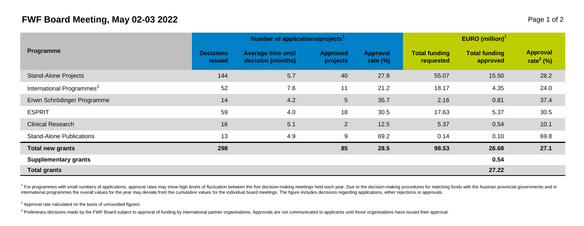## **FWF Board Meeting, May 02-03 2022** Page 1 of 2

| Programme                             |                            | Number of applications/projects <sup>1</sup>   |                      | <b>EURO</b> (million) <sup>1</sup> |                                   |                                  |                                          |  |
|---------------------------------------|----------------------------|------------------------------------------------|----------------------|------------------------------------|-----------------------------------|----------------------------------|------------------------------------------|--|
|                                       | <b>Decisions</b><br>issued | <b>Average time until</b><br>decision (months) | Approved<br>projects | Approval<br>rate $(\%)$            | <b>Total funding</b><br>requested | <b>Total funding</b><br>approved | <b>Approval</b><br>rate <sup>2</sup> (%) |  |
| <b>Stand-Alone Projects</b>           | 144                        | 5.7                                            | 40                   | 27.8                               | 55.07                             | 15.50                            | 28.2                                     |  |
| International Programmes <sup>3</sup> | 52                         | 7.6                                            | 11                   | 21.2                               | 18.17                             | 4.35                             | 24.0                                     |  |
| Erwin Schrödinger Programme           | 14                         | 4.2                                            | $5\overline{)}$      | 35.7                               | 2.16                              | 0.81                             | 37.4                                     |  |
| <b>ESPRIT</b>                         | 59                         | 4.0                                            | 18                   | 30.5                               | 17.63                             | 5.37                             | 30.5                                     |  |
| <b>Clinical Research</b>              | 16                         | 5.1                                            | 2                    | 12.5                               | 5.37                              | 0.54                             | 10.1                                     |  |
| <b>Stand-Alone Publications</b>       | 13                         | 4.9                                            | 9                    | 69.2                               | 0.14                              | 0.10                             | 69.8                                     |  |
| Total new grants                      | 298                        |                                                | 85                   | 28.5                               | 98.53                             | 26.68                            | 27.1                                     |  |
| Supplementary grants                  |                            |                                                |                      |                                    |                                   | 0.54                             |                                          |  |
| <b>Total grants</b>                   |                            |                                                |                      |                                    |                                   | 27.22                            |                                          |  |

<sup>1</sup> For programmes with small numbers of applications, approval rates may show high levels of fluctuation between the five decision-making meetings held each year. Due to the decision-making procedures for matching funds w international programmes the overall values for the year may deviate from the cumulative values for the individual board meetings. The figure includes decisions regarding applications, either rejections or approvals.

 $2$  Approval rate calculated on the basis of unrounded figures.

<sup>3</sup> Preliminary decisions made by the FWF Board subject to approval of funding by international partner organisations. Approvals are not communicated to applicants until those organisations have issued their approval.